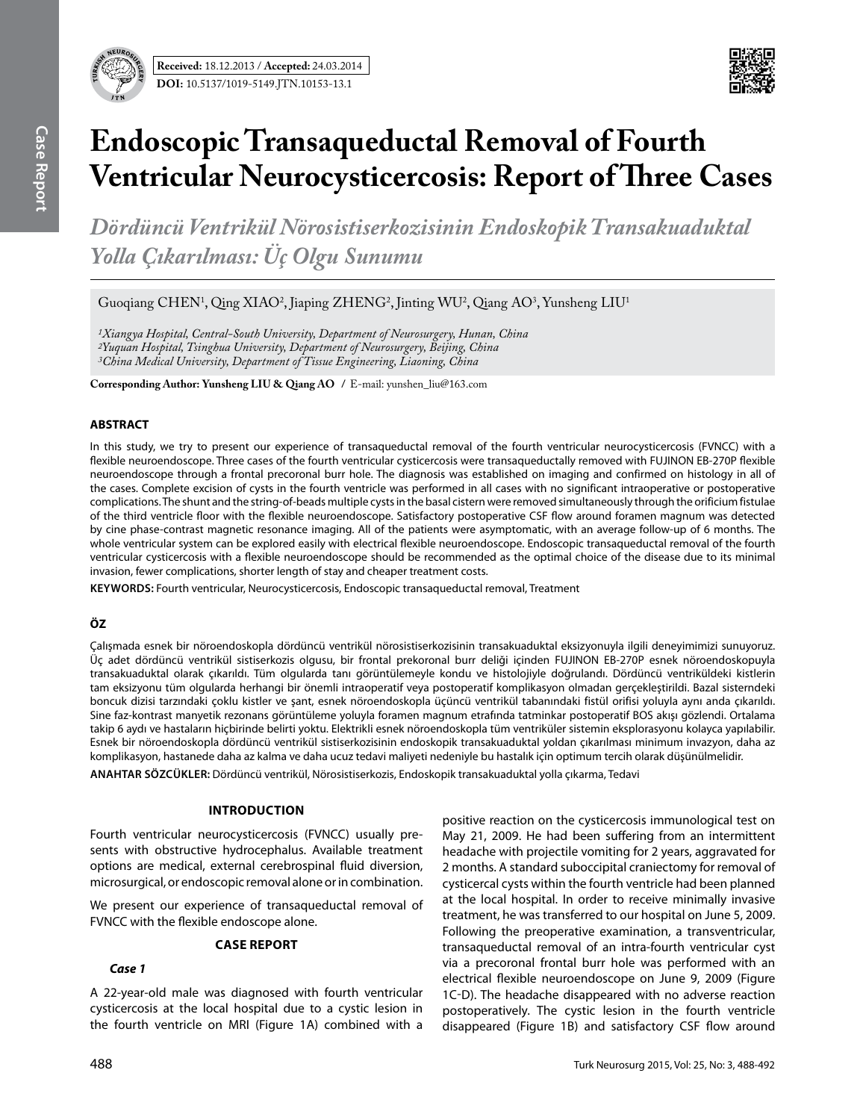

# **Endoscopic Transaqueductal Removal of Fourth Ventricular Neurocysticercosis: Report of Three Cases**

*Dördüncü Ventrikül Nörosistiserkozisinin Endoskopik Transakuaduktal Yolla Çıkarılması: Üç Olgu Sunumu*

 $G$ uoqiang  $CHEN<sup>1</sup>$ , Qing XIAO<sup>2</sup>, Jiaping ZHENG<sup>2</sup>, Jinting WU<sup>2</sup>, Qiang AO<sup>3</sup>, Yunsheng LIU<sup>1</sup>

*1Xiangya Hospital, Central-South University, Department of Neurosurgery, Hunan, China 2Yuquan Hospital, Tsinghua University, Department of Neurosurgery, Beijing, China 3China Medical University, Department of Tissue Engineering, Liaoning, China*

**Corresponding Author: Yunsheng LIu & Qiang AO /** E-mail: yunshen\_liu@163.com

### **ABSTRACT**

In this study, we try to present our experience of transaqueductal removal of the fourth ventricular neurocysticercosis (FVNCC) with a flexible neuroendoscope. Three cases of the fourth ventricular cysticercosis were transaqueductally removed with FUJINON EB-270P flexible neuroendoscope through a frontal precoronal burr hole. The diagnosis was established on imaging and confirmed on histology in all of the cases. Complete excision of cysts in the fourth ventricle was performed in all cases with no significant intraoperative or postoperative complications. The shunt and the string-of-beads multiple cysts in the basal cistern were removed simultaneously through the orificium fistulae of the third ventricle floor with the flexible neuroendoscope. Satisfactory postoperative CSF flow around foramen magnum was detected by cine phase-contrast magnetic resonance imaging. All of the patients were asymptomatic, with an average follow-up of 6 months. The whole ventricular system can be explored easily with electrical flexible neuroendoscope. Endoscopic transaqueductal removal of the fourth ventricular cysticercosis with a flexible neuroendoscope should be recommended as the optimal choice of the disease due to its minimal invasion, fewer complications, shorter length of stay and cheaper treatment costs.

**Keywords:** Fourth ventricular, Neurocysticercosis, Endoscopic transaqueductal removal, Treatment

# **ÖZ**

Çalışmada esnek bir nöroendoskopla dördüncü ventrikül nörosistiserkozisinin transakuaduktal eksizyonuyla ilgili deneyimimizi sunuyoruz. Üç adet dördüncü ventrikül sistiserkozis olgusu, bir frontal prekoronal burr deliği içinden FUJINON EB-270P esnek nöroendoskopuyla transakuaduktal olarak çıkarıldı. Tüm olgularda tanı görüntülemeyle kondu ve histolojiyle doğrulandı. Dördüncü ventriküldeki kistlerin tam eksizyonu tüm olgularda herhangi bir önemli intraoperatif veya postoperatif komplikasyon olmadan gerçekleştirildi. Bazal sisterndeki boncuk dizisi tarzındaki çoklu kistler ve şant, esnek nöroendoskopla üçüncü ventrikül tabanındaki fistül orifisi yoluyla aynı anda çıkarıldı. Sine faz-kontrast manyetik rezonans görüntüleme yoluyla foramen magnum etrafında tatminkar postoperatif BOS akışı gözlendi. Ortalama takip 6 aydı ve hastaların hiçbirinde belirti yoktu. Elektrikli esnek nöroendoskopla tüm ventriküler sistemin eksplorasyonu kolayca yapılabilir. Esnek bir nöroendoskopla dördüncü ventrikül sistiserkozisinin endoskopik transakuaduktal yoldan çıkarılması minimum invazyon, daha az komplikasyon, hastanede daha az kalma ve daha ucuz tedavi maliyeti nedeniyle bu hastalık için optimum tercih olarak düşünülmelidir.

**ANAHTAR SÖZCÜKLER:** Dördüncü ventrikül, Nörosistiserkozis, Endoskopik transakuaduktal yolla çıkarma, Tedavi

# **IntroductIon**

Fourth ventricular neurocysticercosis (FVNCC) usually presents with obstructive hydrocephalus. Available treatment options are medical, external cerebrospinal fluid diversion, microsurgical, or endoscopic removal alone or in combination.

We present our experience of transaqueductal removal of FVNCC with the flexible endoscope alone.

## **Case Report**

## *Case 1*

A 22-year-old male was diagnosed with fourth ventricular cysticercosis at the local hospital due to a cystic lesion in the fourth ventricle on MRI (Figure 1a) combined with a

positive reaction on the cysticercosis immunological test on May 21, 2009. He had been suffering from an intermittent headache with projectile vomiting for 2 years, aggravated for 2 months. A standard suboccipital craniectomy for removal of cysticercal cysts within the fourth ventricle had been planned at the local hospital. In order to receive minimally invasive treatment, he was transferred to our hospital on June 5, 2009. Following the preoperative examination, a transventricular, transaqueductal removal of an intra-fourth ventricular cyst via a precoronal frontal burr hole was performed with an electrical flexible neuroendoscope on June 9, 2009 (Figure 1c-d). The headache disappeared with no adverse reaction postoperatively. The cystic lesion in the fourth ventricle disappeared (Figure 1b) and satisfactory CSF flow around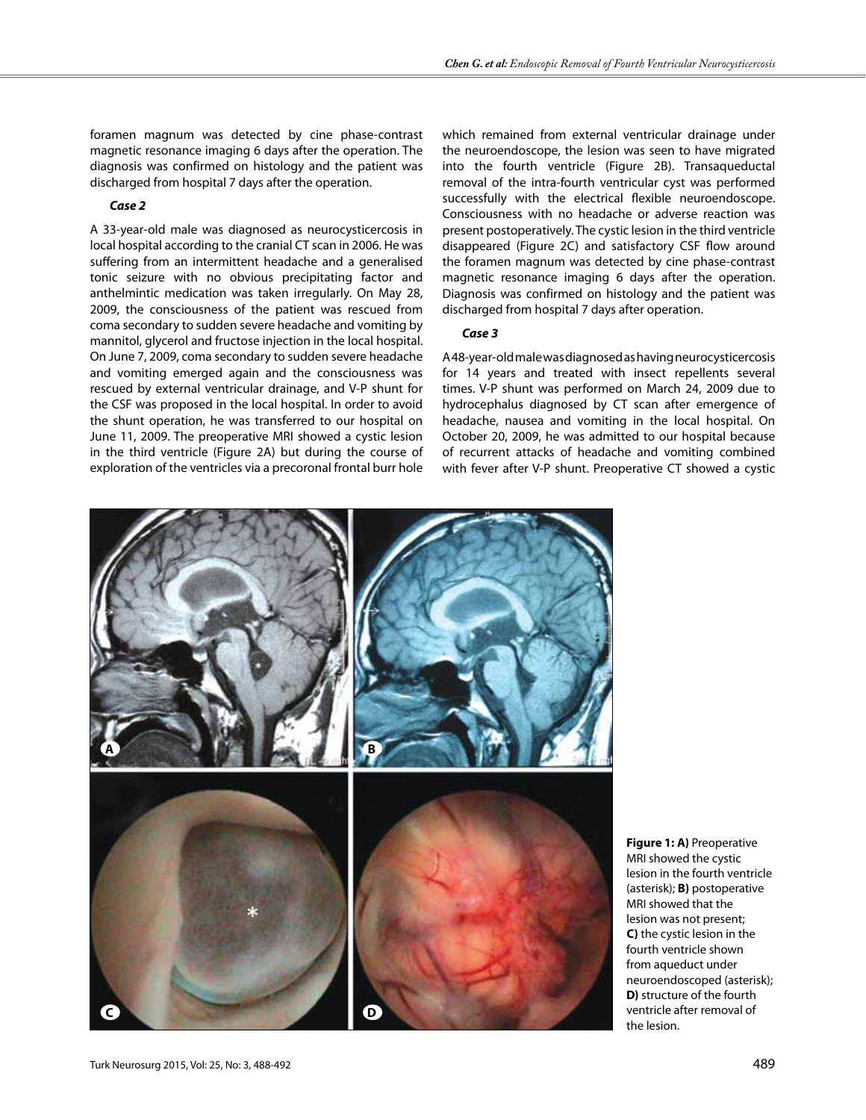foramen magnum was detected by cine phase-contrast magnetic resonance imaging 6 days after the operation. The diagnosis was confirmed on histology and the patient was discharged from hospital 7 days after the operation.

#### *Case 2*

A 33-year-old male was diagnosed as neurocysticercosis in local hospital according to the cranial CT scan in 2006. He was suffering from an intermittent headache and a generalised tonic seizure with no obvious precipitating factor and anthelmintic medication was taken irregularly. On May 28, 2009, the consciousness of the patient was rescued from coma secondary to sudden severe headache and vomiting by mannitol, glycerol and fructose injection in the local hospital. On June 7, 2009, coma secondary to sudden severe headache and vomiting emerged again and the consciousness was rescued by external ventricular drainage, and V-P shunt for the CSF was proposed in the local hospital. In order to avoid the shunt operation, he was transferred to our hospital on June 11, 2009. The preoperative MRI showed a cystic lesion in the third ventricle (Figure 2a) but during the course of exploration of the ventricles via a precoronal frontal burr hole

which remained from external ventricular drainage under the neuroendoscope, the lesion was seen to have migrated into the fourth ventricle (Figure 2B). Transaqueductal removal of the intra-fourth ventricular cyst was performed successfully with the electrical flexible neuroendoscope. Consciousness with no headache or adverse reaction was present postoperatively. The cystic lesion in the third ventricle disappeared (Figure 2c) and satisfactory CSF flow around the foramen magnum was detected by cine phase-contrast magnetic resonance imaging 6 days after the operation. Diagnosis was confirmed on histology and the patient was discharged from hospital 7 days after operation.

## *Case 3*

A 48-year-old male was diagnosed as having neurocysticercosis for 14 years and treated with insect repellents several times. V-P shunt was performed on March 24, 2009 due to hydrocephalus diagnosed by CT scan after emergence of headache, nausea and vomiting in the local hospital. On October 20, 2009, he was admitted to our hospital because of recurrent attacks of headache and vomiting combined with fever after V-P shunt. Preoperative CT showed a cystic



**Figure 1: a)** Preoperative MRI showed the cystic lesion in the fourth ventricle (asterisk); **B)** postoperative MRI showed that the lesion was not present; **C)** the cystic lesion in the fourth ventricle shown from aqueduct under neuroendoscoped (asterisk); **D)** structure of the fourth ventricle after removal of the lesion.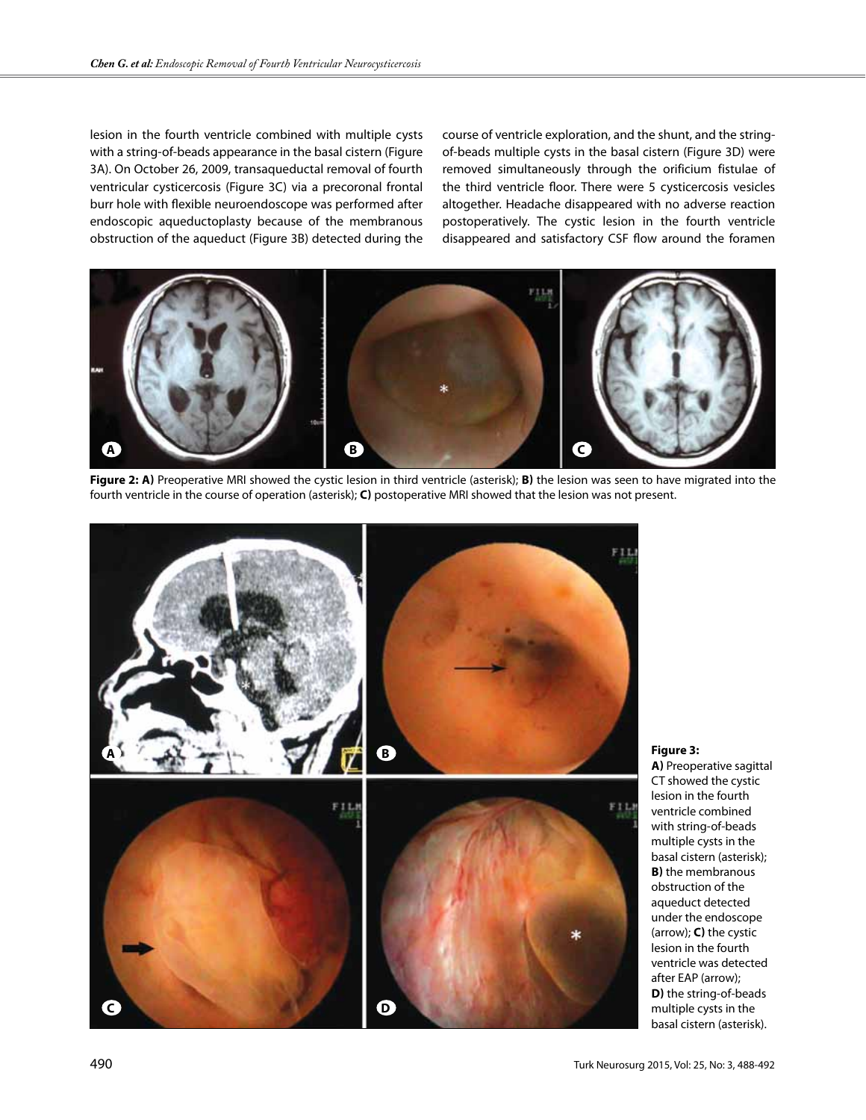lesion in the fourth ventricle combined with multiple cysts with a string-of-beads appearance in the basal cistern (Figure 3a). On October 26, 2009, transaqueductal removal of fourth ventricular cysticercosis (Figure 3c) via a precoronal frontal burr hole with flexible neuroendoscope was performed after endoscopic aqueductoplasty because of the membranous obstruction of the aqueduct (Figure 3B) detected during the course of ventricle exploration, and the shunt, and the stringof-beads multiple cysts in the basal cistern (Figure 3D) were removed simultaneously through the orificium fistulae of the third ventricle floor. There were 5 cysticercosis vesicles altogether. Headache disappeared with no adverse reaction postoperatively. The cystic lesion in the fourth ventricle disappeared and satisfactory CSF flow around the foramen



**Figure 2: a)** Preoperative MRI showed the cystic lesion in third ventricle (asterisk); **b)** the lesion was seen to have migrated into the fourth ventricle in the course of operation (asterisk); **c)** postoperative MRI showed that the lesion was not present.



**Figure 3:** 

**a)** Preoperative sagittal CT showed the cystic lesion in the fourth ventricle combined with string-of-beads multiple cysts in the basal cistern (asterisk); **b)** the membranous obstruction of the aqueduct detected under the endoscope (arrow); **c)** the cystic lesion in the fourth ventricle was detected after EAP (arrow); **D**) the string-of-beads multiple cysts in the basal cistern (asterisk).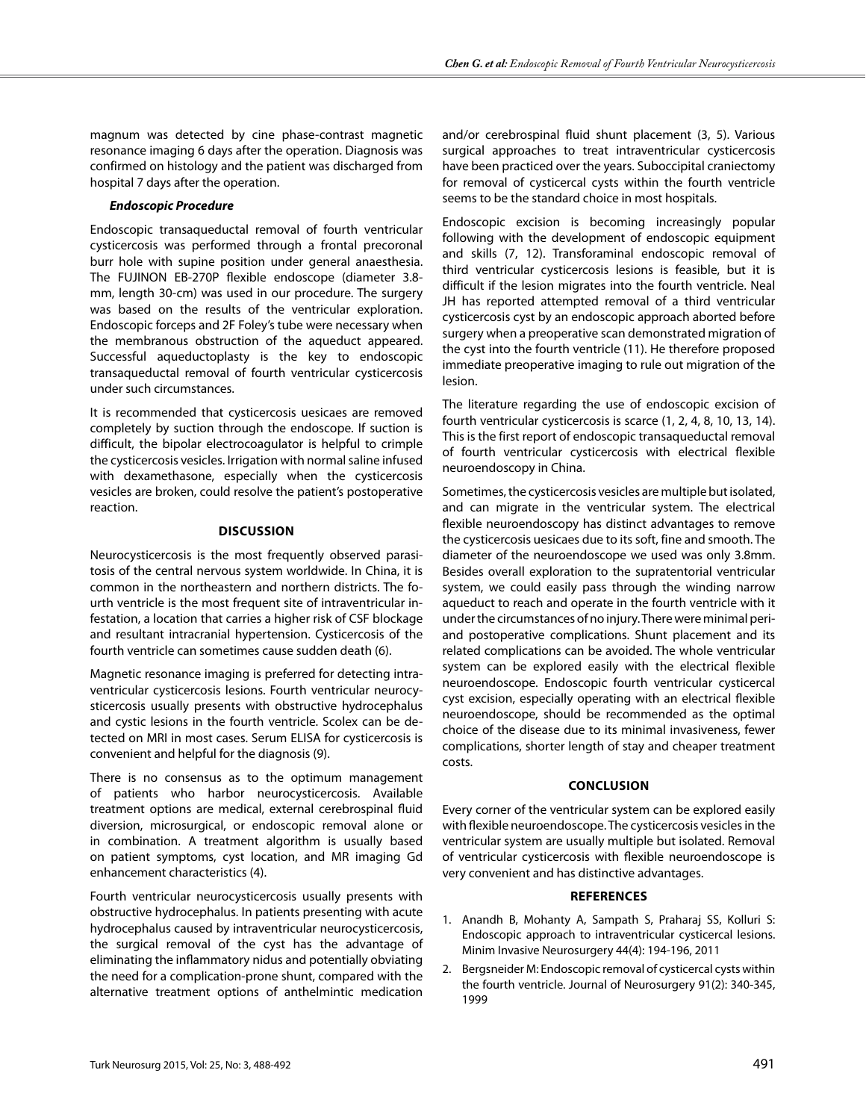magnum was detected by cine phase-contrast magnetic resonance imaging 6 days after the operation. Diagnosis was confirmed on histology and the patient was discharged from hospital 7 days after the operation.

## *Endoscopic Procedure*

Endoscopic transaqueductal removal of fourth ventricular cysticercosis was performed through a frontal precoronal burr hole with supine position under general anaesthesia. The FUJINON EB-270P flexible endoscope (diameter 3.8 mm, length 30-cm) was used in our procedure. The surgery was based on the results of the ventricular exploration. Endoscopic forceps and 2F Foley's tube were necessary when the membranous obstruction of the aqueduct appeared. Successful aqueductoplasty is the key to endoscopic transaqueductal removal of fourth ventricular cysticercosis under such circumstances.

It is recommended that cysticercosis uesicaes are removed completely by suction through the endoscope. If suction is difficult, the bipolar electrocoagulator is helpful to crimple the cysticercosis vesicles. Irrigation with normal saline infused with dexamethasone, especially when the cysticercosis vesicles are broken, could resolve the patient's postoperative reaction.

## **DIscussIon**

Neurocysticercosis is the most frequently observed parasitosis of the central nervous system worldwide. In China, it is common in the northeastern and northern districts. The fourth ventricle is the most frequent site of intraventricular infestation, a location that carries a higher risk of CSF blockage and resultant intracranial hypertension. Cysticercosis of the fourth ventricle can sometimes cause sudden death (6).

Magnetic resonance imaging is preferred for detecting intraventricular cysticercosis lesions. Fourth ventricular neurocysticercosis usually presents with obstructive hydrocephalus and cystic lesions in the fourth ventricle. Scolex can be detected on MRI in most cases. Serum ELISA for cysticercosis is convenient and helpful for the diagnosis (9).

There is no consensus as to the optimum management of patients who harbor neurocysticercosis. Available treatment options are medical, external cerebrospinal fluid diversion, microsurgical, or endoscopic removal alone or in combination. A treatment algorithm is usually based on patient symptoms, cyst location, and MR imaging Gd enhancement characteristics (4).

Fourth ventricular neurocysticercosis usually presents with obstructive hydrocephalus. In patients presenting with acute hydrocephalus caused by intraventricular neurocysticercosis, the surgical removal of the cyst has the advantage of eliminating the inflammatory nidus and potentially obviating the need for a complication-prone shunt, compared with the alternative treatment options of anthelmintic medication

and/or cerebrospinal fluid shunt placement (3, 5). Various surgical approaches to treat intraventricular cysticercosis have been practiced over the years. Suboccipital craniectomy for removal of cysticercal cysts within the fourth ventricle seems to be the standard choice in most hospitals.

Endoscopic excision is becoming increasingly popular following with the development of endoscopic equipment and skills (7, 12). Transforaminal endoscopic removal of third ventricular cysticercosis lesions is feasible, but it is difficult if the lesion migrates into the fourth ventricle. Neal JH has reported attempted removal of a third ventricular cysticercosis cyst by an endoscopic approach aborted before surgery when a preoperative scan demonstrated migration of the cyst into the fourth ventricle (11). He therefore proposed immediate preoperative imaging to rule out migration of the lesion.

The literature regarding the use of endoscopic excision of fourth ventricular cysticercosis is scarce (1, 2, 4, 8, 10, 13, 14). This is the first report of endoscopic transaqueductal removal of fourth ventricular cysticercosis with electrical flexible neuroendoscopy in China.

Sometimes, the cysticercosis vesicles are multiple but isolated, and can migrate in the ventricular system. The electrical flexible neuroendoscopy has distinct advantages to remove the cysticercosis uesicaes due to its soft, fine and smooth. The diameter of the neuroendoscope we used was only 3.8mm. Besides overall exploration to the supratentorial ventricular system, we could easily pass through the winding narrow aqueduct to reach and operate in the fourth ventricle with it under the circumstances of no injury. There were minimal periand postoperative complications. Shunt placement and its related complications can be avoided. The whole ventricular system can be explored easily with the electrical flexible neuroendoscope. Endoscopic fourth ventricular cysticercal cyst excision, especially operating with an electrical flexible neuroendoscope, should be recommended as the optimal choice of the disease due to its minimal invasiveness, fewer complications, shorter length of stay and cheaper treatment costs.

# **ConclusIon**

Every corner of the ventricular system can be explored easily with flexible neuroendoscope. The cysticercosis vesicles in the ventricular system are usually multiple but isolated. Removal of ventricular cysticercosis with flexible neuroendoscope is very convenient and has distinctive advantages.

# **References**

- 1. Anandh B, Mohanty A, Sampath S, Praharaj SS, Kolluri S: Endoscopic approach to intraventricular cysticercal lesions. Minim Invasive Neurosurgery 44(4): 194-196, 2011
- 2. Bergsneider M: Endoscopic removal of cysticercal cysts within the fourth ventricle. Journal of Neurosurgery 91(2): 340-345, 1999